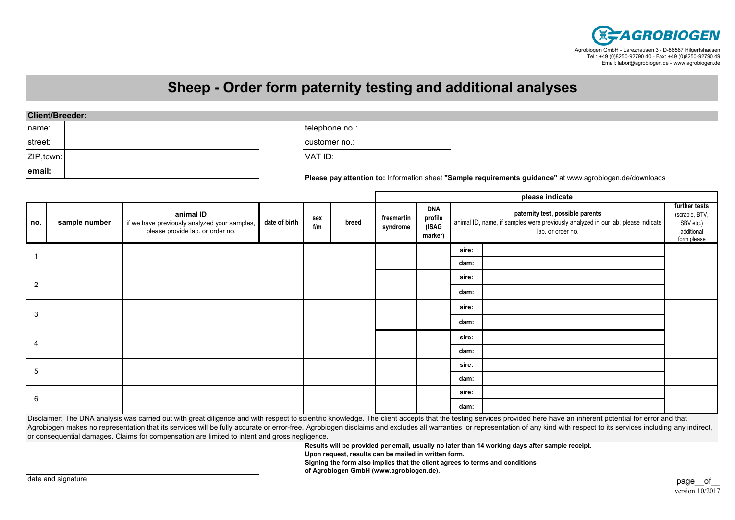

## **Sheep - Order form paternity testing and additional analyses**

| <b>Client/Breeder:</b> |  |
|------------------------|--|
|------------------------|--|

| name:      | telephone no.:                                                                                   |
|------------|--------------------------------------------------------------------------------------------------|
| street:    | customer no.:                                                                                    |
| ZIP, town: | VAT ID:                                                                                          |
| email:     | <b>Please nay attention to:</b> Information sheet "Sample requirements quidance" at www.agrobiog |

**Please pay attention to:** Information sheet **"Sample requirements guidance"** at www.agrobiogen.de/downloads

|                |               |                                                                                               |               |            |       | please indicate        |                                    |                                                                                                                                           |  |                                                                           |
|----------------|---------------|-----------------------------------------------------------------------------------------------|---------------|------------|-------|------------------------|------------------------------------|-------------------------------------------------------------------------------------------------------------------------------------------|--|---------------------------------------------------------------------------|
| no.            | sample number | animal ID<br>if we have previously analyzed your samples,<br>please provide lab. or order no. | date of birth | sex<br>f/m | breed | freemartin<br>syndrome | DNA<br>profile<br>(ISAG<br>marker) | paternity test, possible parents<br>animal ID, name, if samples were previously analyzed in our lab, please indicate<br>lab. or order no. |  | further tests<br>(scrapie, BTV,<br>SBV etc.)<br>additional<br>form please |
|                |               |                                                                                               |               |            |       |                        |                                    | sire:                                                                                                                                     |  |                                                                           |
|                |               |                                                                                               |               |            |       |                        |                                    | dam:                                                                                                                                      |  |                                                                           |
| $\overline{2}$ |               |                                                                                               |               |            |       |                        | sire:                              |                                                                                                                                           |  |                                                                           |
|                |               |                                                                                               |               |            |       |                        |                                    | dam:                                                                                                                                      |  |                                                                           |
| 3              |               |                                                                                               |               |            |       |                        |                                    | sire:                                                                                                                                     |  |                                                                           |
|                |               |                                                                                               |               |            |       |                        |                                    | dam:                                                                                                                                      |  |                                                                           |
| 4              |               |                                                                                               |               |            |       |                        |                                    | sire:                                                                                                                                     |  |                                                                           |
|                |               |                                                                                               |               |            |       |                        |                                    | dam:                                                                                                                                      |  |                                                                           |
| 5              |               |                                                                                               |               |            |       |                        | sire:                              |                                                                                                                                           |  |                                                                           |
|                |               |                                                                                               |               |            |       |                        | dam:                               |                                                                                                                                           |  |                                                                           |
| 6              |               |                                                                                               |               |            |       |                        |                                    | sire:                                                                                                                                     |  |                                                                           |
|                |               |                                                                                               |               |            |       |                        |                                    | dam:                                                                                                                                      |  |                                                                           |

Disclaimer: The DNA analysis was carried out with great diligence and with respect to scientific knowledge. The client accepts that the testing services provided here have an inherent potential for error and that Agrobiogen makes no representation that its services will be fully accurate or error-free. Agrobiogen disclaims and excludes all warranties or representation of any kind with respect to its services including any indirect, or consequential damages. Claims for compensation are limited to intent and gross negligence.

**Results will be provided per email, usually no later than 14 working days after sample receipt.**

**Upon request, results can be mailed in written form.**

**Signing the form also implies that the client agrees to terms and conditions**

**of Agrobiogen GmbH (www.agrobiogen.de).**